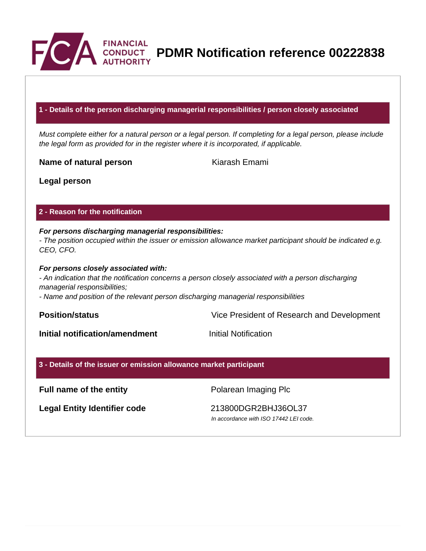

**PDMR Notification reference 00222838**

## **1 - Details of the person discharging managerial responsibilities / person closely associated**

Must complete either for a natural person or a legal person. If completing for a legal person, please include the legal form as provided for in the register where it is incorporated, if applicable.

**Name of natural person** Kiarash Emami

**Legal person**

## **2 - Reason for the notification**

## **For persons discharging managerial responsibilities:**

- The position occupied within the issuer or emission allowance market participant should be indicated e.g. CEO, CFO.

#### **For persons closely associated with:**

- An indication that the notification concerns a person closely associated with a person discharging managerial responsibilities;

- Name and position of the relevant person discharging managerial responsibilities

**Position/status** Vice President of Research and Development

**Initial notification/amendment Initial Notification** 

### **3 - Details of the issuer or emission allowance market participant**

**Full name of the entity Polarean Imaging Plc** 

**Legal Entity Identifier code** 213800DGR2BHJ36OL37

In accordance with ISO 17442 LEI code.